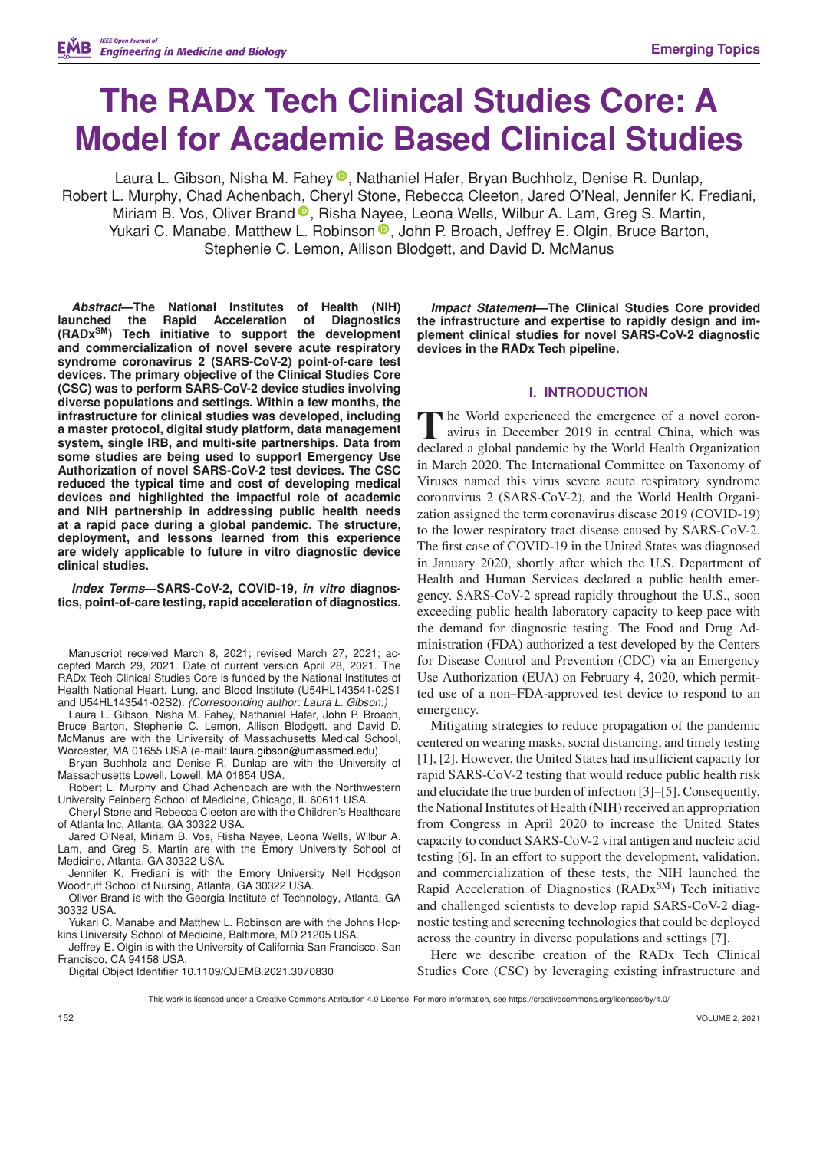# **The RADx Tech Clinical Studies Core: A Model for Academic Based Clinical Studies**

Laura L. Gibson[,](https://orcid.org/0000-0001-9059-1470) Nisha M. Fahey **D.** Nathaniel Hafer, Bryan Buchholz, Denise R. Dunlap, Robert L. Murphy, Chad Achenbac[h, C](https://orcid.org/0000-0001-7438-1094)heryl Stone, Rebecca Cleeton, Jared O'Neal, Jennifer K. Frediani, Miriam B. Vos, Oliver Brand <sup>®</sup>, Risha N[aye](https://orcid.org/0000-0003-0376-8560)e, Leona Wells, Wilbur A. Lam, Greg S. Martin, Yukari C. Manabe, Matthew L. Robinson <sup>®</sup>, John P. Broach, Jeffrey E. Olgin, Bruce Barton, Stephenie C. Lemon, Allison Blodgett, and David D. McManus

*Abstract***—The National Institutes of Health (NIH) launched the Rapid Acceleration of Diagnostics (RADxSM) Tech initiative to support the development and commercialization of novel severe acute respiratory syndrome coronavirus 2 (SARS-CoV-2) point-of-care test devices. The primary objective of the Clinical Studies Core (CSC) was to perform SARS-CoV-2 device studies involving diverse populations and settings. Within a few months, the infrastructure for clinical studies was developed, including a master protocol, digital study platform, data management system, single IRB, and multi-site partnerships. Data from some studies are being used to support Emergency Use Authorization of novel SARS-CoV-2 test devices. The CSC reduced the typical time and cost of developing medical devices and highlighted the impactful role of academic and NIH partnership in addressing public health needs at a rapid pace during a global pandemic. The structure, deployment, and lessons learned from this experience are widely applicable to future in vitro diagnostic device clinical studies.**

*Index Terms***—SARS-CoV-2, COVID-19,** *in vitro* **diagnostics, point-of-care testing, rapid acceleration of diagnostics.**

Manuscript received March 8, 2021; revised March 27, 2021; accepted March 29, 2021. Date of current version April 28, 2021. The RADx Tech Clinical Studies Core is funded by the National Institutes of Health National Heart, Lung, and Blood Institute (U54HL143541-02S1 and U54HL143541-02S2). *(Corresponding author: Laura L. Gibson.)*

Laura L. Gibson, Nisha M. Fahey, Nathaniel Hafer, John P. Broach, Bruce Barton, Stephenie C. Lemon, Allison Blodgett, and David D. McManus are with the University of Massachusetts Medical School, Worcester, MA 01655 USA (e-mail: [laura.gibson@umassmed.edu\)](mailto:laura.gibson@umassmed.edu).

Bryan Buchholz and Denise R. Dunlap are with the University of Massachusetts Lowell, Lowell, MA 01854 USA.

Robert L. Murphy and Chad Achenbach are with the Northwestern University Feinberg School of Medicine, Chicago, IL 60611 USA.

Cheryl Stone and Rebecca Cleeton are with the Children's Healthcare of Atlanta Inc, Atlanta, GA 30322 USA.

Jared O'Neal, Miriam B. Vos, Risha Nayee, Leona Wells, Wilbur A. Lam, and Greg S. Martin are with the Emory University School of Medicine, Atlanta, GA 30322 USA.

Jennifer K. Frediani is with the Emory University Nell Hodgson Woodruff School of Nursing, Atlanta, GA 30322 USA.

Oliver Brand is with the Georgia Institute of Technology, Atlanta, GA 30332 USA.

Yukari C. Manabe and Matthew L. Robinson are with the Johns Hopkins University School of Medicine, Baltimore, MD 21205 USA.

Jeffrey E. Olgin is with the University of California San Francisco, San Francisco, CA 94158 USA.

Digital Object Identifier 10.1109/OJEMB.2021.3070830

*Impact Statement***—The Clinical Studies Core provided the infrastructure and expertise to rapidly design and implement clinical studies for novel SARS-CoV-2 diagnostic devices in the RADx Tech pipeline.**

## **I. INTRODUCTION**

**T**he World experienced the emergence of a novel coron-<br>avirus in December 2019 in central China, which was<br>declared a global pandamic by the World Health Organization declared a global pandemic by the World Health Organization in March 2020. The International Committee on Taxonomy of Viruses named this virus severe acute respiratory syndrome coronavirus 2 (SARS-CoV-2), and the World Health Organization assigned the term coronavirus disease 2019 (COVID-19) to the lower respiratory tract disease caused by SARS-CoV-2. The first case of COVID-19 in the United States was diagnosed in January 2020, shortly after which the U.S. Department of Health and Human Services declared a public health emergency. SARS-CoV-2 spread rapidly throughout the U.S., soon exceeding public health laboratory capacity to keep pace with the demand for diagnostic testing. The Food and Drug Administration (FDA) authorized a test developed by the Centers for Disease Control and Prevention (CDC) via an Emergency Use Authorization (EUA) on February 4, 2020, which permitted use of a non–FDA-approved test device to respond to an emergency.

Mitigating strategies to reduce propagation of the pandemic centered on wearing masks, social distancing, and timely testing [1], [2]. However, the United States had insufficient capacity for rapid SARS-CoV-2 testing that would reduce public health risk and elucidate the true burden of infection [3]–[5]. Consequently, the National Institutes of Health (NIH) received an appropriation from Congress in April 2020 to increase the United States capacity to conduct SARS-CoV-2 viral antigen and nucleic acid testing [6]. In an effort to support the development, validation, and commercialization of these tests, the NIH launched the Rapid Acceleration of Diagnostics ( $RADx^{SM}$ ) Tech initiative and challenged scientists to develop rapid SARS-CoV-2 diagnostic testing and screening technologies that could be deployed across the country in diverse populations and settings [7].

Here we describe creation of the RADx Tech Clinical Studies Core (CSC) by leveraging existing infrastructure and

This work is licensed under a Creative Commons Attribution 4.0 License. For more information, see https://creativecommons.org/licenses/by/4.0/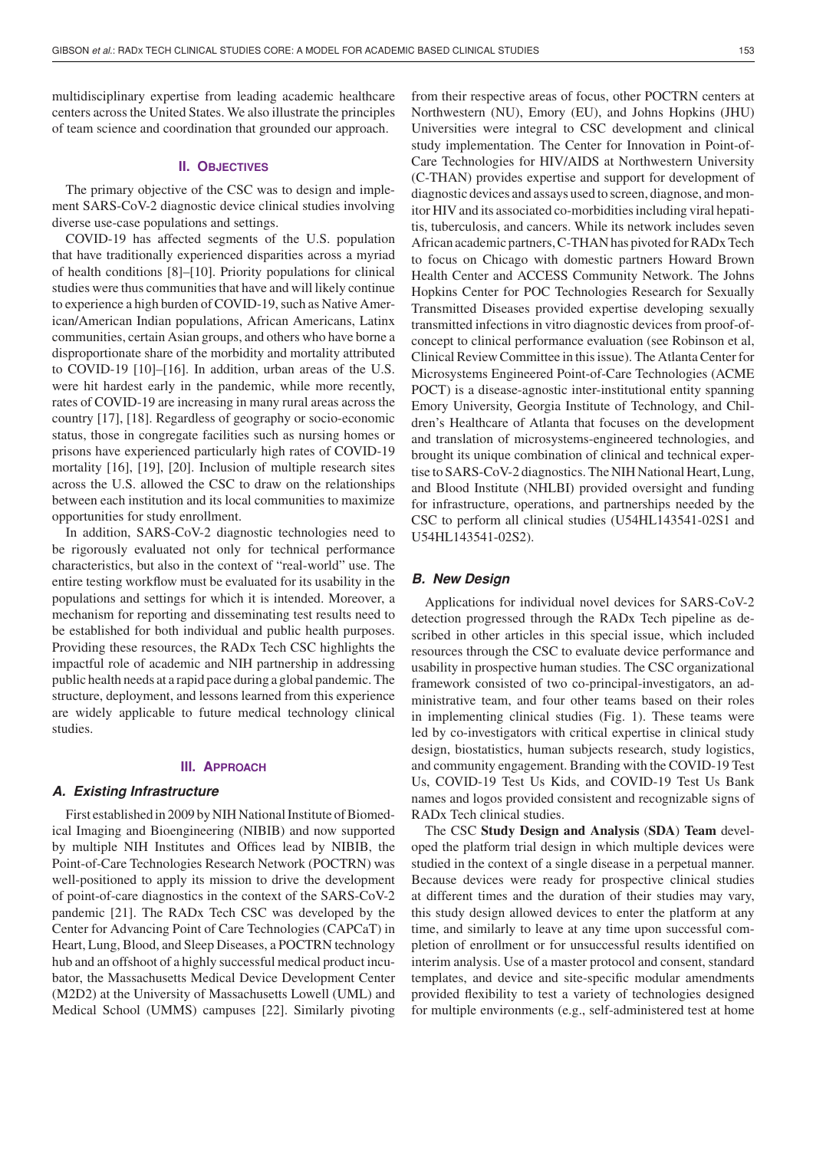multidisciplinary expertise from leading academic healthcare centers across the United States. We also illustrate the principles of team science and coordination that grounded our approach.

## **II. OBJECTIVES**

The primary objective of the CSC was to design and implement SARS-CoV-2 diagnostic device clinical studies involving diverse use-case populations and settings.

COVID-19 has affected segments of the U.S. population that have traditionally experienced disparities across a myriad of health conditions [8]–[10]. Priority populations for clinical studies were thus communities that have and will likely continue to experience a high burden of COVID-19, such as Native American/American Indian populations, African Americans, Latinx communities, certain Asian groups, and others who have borne a disproportionate share of the morbidity and mortality attributed to COVID-19 [10]–[16]. In addition, urban areas of the U.S. were hit hardest early in the pandemic, while more recently, rates of COVID-19 are increasing in many rural areas across the country [17], [18]. Regardless of geography or socio-economic status, those in congregate facilities such as nursing homes or prisons have experienced particularly high rates of COVID-19 mortality [16], [19], [20]. Inclusion of multiple research sites across the U.S. allowed the CSC to draw on the relationships between each institution and its local communities to maximize opportunities for study enrollment.

In addition, SARS-CoV-2 diagnostic technologies need to be rigorously evaluated not only for technical performance characteristics, but also in the context of "real-world" use. The entire testing workflow must be evaluated for its usability in the populations and settings for which it is intended. Moreover, a mechanism for reporting and disseminating test results need to be established for both individual and public health purposes. Providing these resources, the RADx Tech CSC highlights the impactful role of academic and NIH partnership in addressing public health needs at a rapid pace during a global pandemic. The structure, deployment, and lessons learned from this experience are widely applicable to future medical technology clinical studies.

## **III. APPROACH**

### *A. Existing Infrastructure*

First established in 2009 by NIH National Institute of Biomedical Imaging and Bioengineering (NIBIB) and now supported by multiple NIH Institutes and Offices lead by NIBIB, the Point-of-Care Technologies Research Network (POCTRN) was well-positioned to apply its mission to drive the development of point-of-care diagnostics in the context of the SARS-CoV-2 pandemic [21]. The RADx Tech CSC was developed by the Center for Advancing Point of Care Technologies (CAPCaT) in Heart, Lung, Blood, and Sleep Diseases, a POCTRN technology hub and an offshoot of a highly successful medical product incubator, the Massachusetts Medical Device Development Center (M2D2) at the University of Massachusetts Lowell (UML) and Medical School (UMMS) campuses [22]. Similarly pivoting from their respective areas of focus, other POCTRN centers at Northwestern (NU), Emory (EU), and Johns Hopkins (JHU) Universities were integral to CSC development and clinical study implementation. The Center for Innovation in Point-of-Care Technologies for HIV/AIDS at Northwestern University (C-THAN) provides expertise and support for development of diagnostic devices and assays used to screen, diagnose, and monitor HIV and its associated co-morbidities including viral hepatitis, tuberculosis, and cancers. While its network includes seven African academic partners, C-THAN has pivoted for RADx Tech to focus on Chicago with domestic partners Howard Brown Health Center and ACCESS Community Network. The Johns Hopkins Center for POC Technologies Research for Sexually Transmitted Diseases provided expertise developing sexually transmitted infections in vitro diagnostic devices from proof-ofconcept to clinical performance evaluation (see Robinson et al, Clinical Review Committee in this issue). The Atlanta Center for Microsystems Engineered Point-of-Care Technologies (ACME POCT) is a disease-agnostic inter-institutional entity spanning Emory University, Georgia Institute of Technology, and Children's Healthcare of Atlanta that focuses on the development and translation of microsystems-engineered technologies, and brought its unique combination of clinical and technical expertise to SARS-CoV-2 diagnostics. The NIH National Heart, Lung, and Blood Institute (NHLBI) provided oversight and funding for infrastructure, operations, and partnerships needed by the CSC to perform all clinical studies (U54HL143541-02S1 and U54HL143541-02S2).

## *B. New Design*

Applications for individual novel devices for SARS-CoV-2 detection progressed through the RADx Tech pipeline as described in other articles in this special issue, which included resources through the CSC to evaluate device performance and usability in prospective human studies. The CSC organizational framework consisted of two co-principal-investigators, an administrative team, and four other teams based on their roles in implementing clinical studies (Fig. 1). These teams were led by co-investigators with critical expertise in clinical study design, biostatistics, human subjects research, study logistics, and community engagement. Branding with the COVID-19 Test Us, COVID-19 Test Us Kids, and COVID-19 Test Us Bank names and logos provided consistent and recognizable signs of RADx Tech clinical studies.

The CSC **Study Design and Analysis** (**SDA**) **Team** developed the platform trial design in which multiple devices were studied in the context of a single disease in a perpetual manner. Because devices were ready for prospective clinical studies at different times and the duration of their studies may vary, this study design allowed devices to enter the platform at any time, and similarly to leave at any time upon successful completion of enrollment or for unsuccessful results identified on interim analysis. Use of a master protocol and consent, standard templates, and device and site-specific modular amendments provided flexibility to test a variety of technologies designed for multiple environments (e.g., self-administered test at home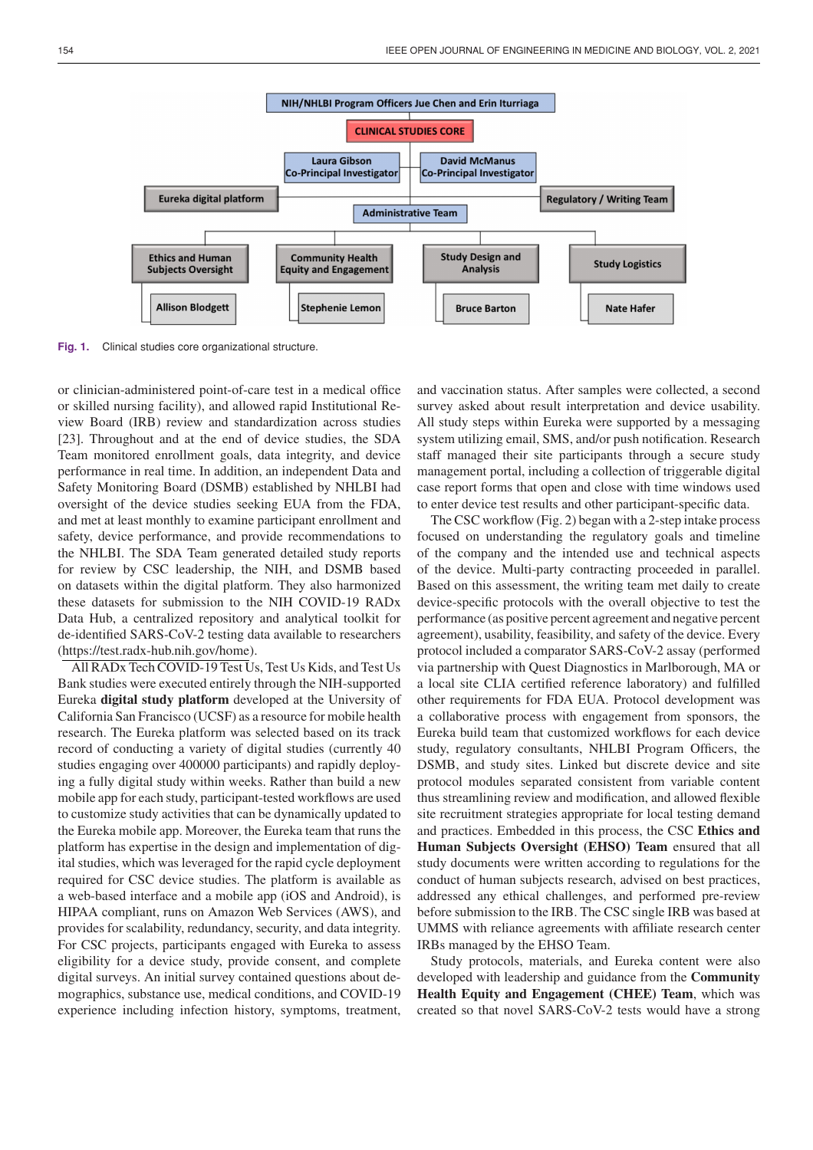

Fig. 1. Clinical studies core organizational structure.

or clinician-administered point-of-care test in a medical office or skilled nursing facility), and allowed rapid Institutional Review Board (IRB) review and standardization across studies [23]. Throughout and at the end of device studies, the SDA Team monitored enrollment goals, data integrity, and device performance in real time. In addition, an independent Data and Safety Monitoring Board (DSMB) established by NHLBI had oversight of the device studies seeking EUA from the FDA, and met at least monthly to examine participant enrollment and safety, device performance, and provide recommendations to the NHLBI. The SDA Team generated detailed study reports for review by CSC leadership, the NIH, and DSMB based on datasets within the digital platform. They also harmonized these datasets for submission to the NIH COVID-19 RADx Data Hub, a centralized repository and analytical toolkit for de-identified SARS-CoV-2 testing data available to researchers (https://test.radx-hub.nih.gov/home).

All RADx Tech COVID-19 Test Us, Test Us Kids, and Test Us Bank studies were executed entirely through the NIH-supported Eureka **digital study platform** developed at the University of California San Francisco (UCSF) as a resource for mobile health research. The Eureka platform was selected based on its track record of conducting a variety of digital studies (currently 40 studies engaging over 400000 participants) and rapidly deploying a fully digital study within weeks. Rather than build a new mobile app for each study, participant-tested workflows are used to customize study activities that can be dynamically updated to the Eureka mobile app. Moreover, the Eureka team that runs the platform has expertise in the design and implementation of digital studies, which was leveraged for the rapid cycle deployment required for CSC device studies. The platform is available as a web-based interface and a mobile app (iOS and Android), is HIPAA compliant, runs on Amazon Web Services (AWS), and provides for scalability, redundancy, security, and data integrity. For CSC projects, participants engaged with Eureka to assess eligibility for a device study, provide consent, and complete digital surveys. An initial survey contained questions about demographics, substance use, medical conditions, and COVID-19 experience including infection history, symptoms, treatment, and vaccination status. After samples were collected, a second survey asked about result interpretation and device usability. All study steps within Eureka were supported by a messaging system utilizing email, SMS, and/or push notification. Research staff managed their site participants through a secure study management portal, including a collection of triggerable digital case report forms that open and close with time windows used to enter device test results and other participant-specific data.

The CSC workflow (Fig. 2) began with a 2-step intake process focused on understanding the regulatory goals and timeline of the company and the intended use and technical aspects of the device. Multi-party contracting proceeded in parallel. Based on this assessment, the writing team met daily to create device-specific protocols with the overall objective to test the performance (as positive percent agreement and negative percent agreement), usability, feasibility, and safety of the device. Every protocol included a comparator SARS-CoV-2 assay (performed via partnership with Quest Diagnostics in Marlborough, MA or a local site CLIA certified reference laboratory) and fulfilled other requirements for FDA EUA. Protocol development was a collaborative process with engagement from sponsors, the Eureka build team that customized workflows for each device study, regulatory consultants, NHLBI Program Officers, the DSMB, and study sites. Linked but discrete device and site protocol modules separated consistent from variable content thus streamlining review and modification, and allowed flexible site recruitment strategies appropriate for local testing demand and practices. Embedded in this process, the CSC **Ethics and Human Subjects Oversight (EHSO) Team** ensured that all study documents were written according to regulations for the conduct of human subjects research, advised on best practices, addressed any ethical challenges, and performed pre-review before submission to the IRB. The CSC single IRB was based at UMMS with reliance agreements with affiliate research center IRBs managed by the EHSO Team.

Study protocols, materials, and Eureka content were also developed with leadership and guidance from the **Community Health Equity and Engagement (CHEE) Team**, which was created so that novel SARS-CoV-2 tests would have a strong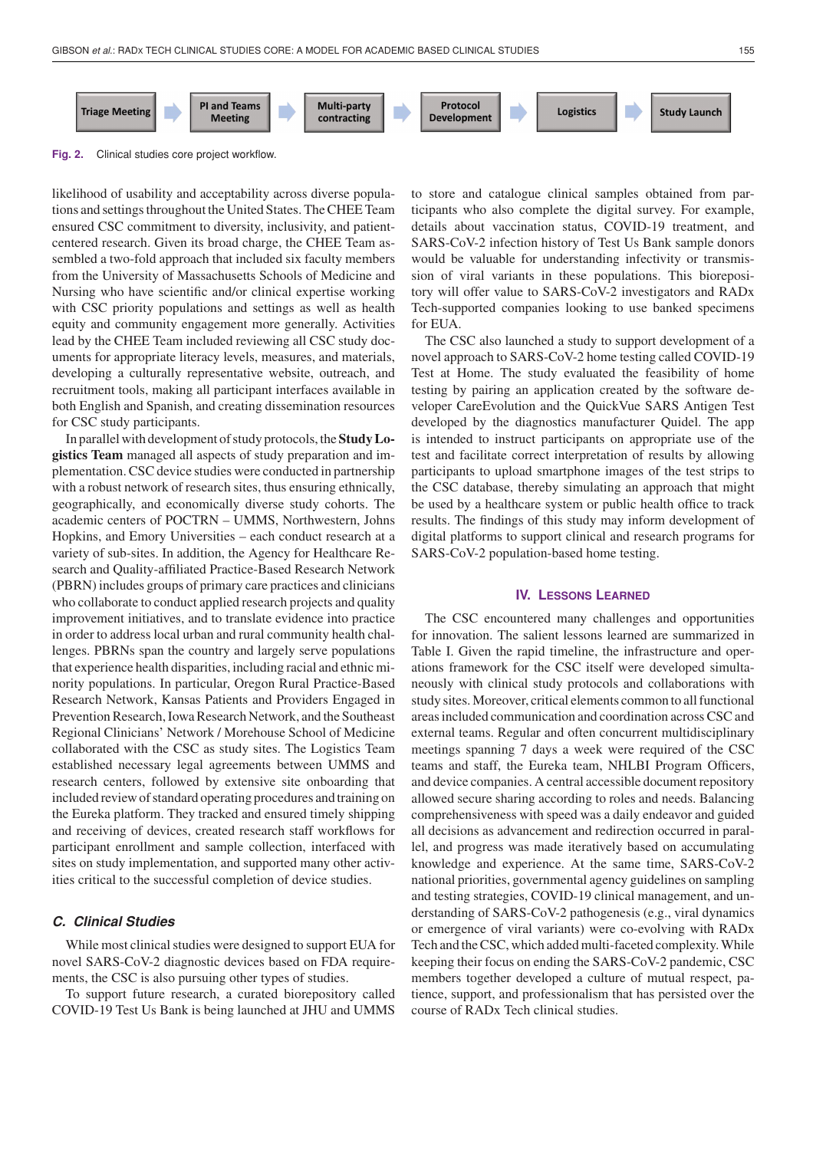

**Fig. 2.** Clinical studies core project workflow.

likelihood of usability and acceptability across diverse populations and settings throughout the United States. The CHEE Team ensured CSC commitment to diversity, inclusivity, and patientcentered research. Given its broad charge, the CHEE Team assembled a two-fold approach that included six faculty members from the University of Massachusetts Schools of Medicine and Nursing who have scientific and/or clinical expertise working with CSC priority populations and settings as well as health equity and community engagement more generally. Activities lead by the CHEE Team included reviewing all CSC study documents for appropriate literacy levels, measures, and materials, developing a culturally representative website, outreach, and recruitment tools, making all participant interfaces available in both English and Spanish, and creating dissemination resources for CSC study participants.

In parallel with development of study protocols, the **Study Logistics Team** managed all aspects of study preparation and implementation. CSC device studies were conducted in partnership with a robust network of research sites, thus ensuring ethnically, geographically, and economically diverse study cohorts. The academic centers of POCTRN – UMMS, Northwestern, Johns Hopkins, and Emory Universities – each conduct research at a variety of sub-sites. In addition, the Agency for Healthcare Research and Quality-affiliated Practice-Based Research Network (PBRN) includes groups of primary care practices and clinicians who collaborate to conduct applied research projects and quality improvement initiatives, and to translate evidence into practice in order to address local urban and rural community health challenges. PBRNs span the country and largely serve populations that experience health disparities, including racial and ethnic minority populations. In particular, Oregon Rural Practice-Based Research Network, Kansas Patients and Providers Engaged in Prevention Research, Iowa Research Network, and the Southeast Regional Clinicians' Network / Morehouse School of Medicine collaborated with the CSC as study sites. The Logistics Team established necessary legal agreements between UMMS and research centers, followed by extensive site onboarding that included review of standard operating procedures and training on the Eureka platform. They tracked and ensured timely shipping and receiving of devices, created research staff workflows for participant enrollment and sample collection, interfaced with sites on study implementation, and supported many other activities critical to the successful completion of device studies.

# *C. Clinical Studies*

While most clinical studies were designed to support EUA for novel SARS-CoV-2 diagnostic devices based on FDA requirements, the CSC is also pursuing other types of studies.

To support future research, a curated biorepository called COVID-19 Test Us Bank is being launched at JHU and UMMS

to store and catalogue clinical samples obtained from participants who also complete the digital survey. For example, details about vaccination status, COVID-19 treatment, and SARS-CoV-2 infection history of Test Us Bank sample donors would be valuable for understanding infectivity or transmission of viral variants in these populations. This biorepository will offer value to SARS-CoV-2 investigators and RADx Tech-supported companies looking to use banked specimens for EUA.

The CSC also launched a study to support development of a novel approach to SARS-CoV-2 home testing called COVID-19 Test at Home. The study evaluated the feasibility of home testing by pairing an application created by the software developer CareEvolution and the QuickVue SARS Antigen Test developed by the diagnostics manufacturer Quidel. The app is intended to instruct participants on appropriate use of the test and facilitate correct interpretation of results by allowing participants to upload smartphone images of the test strips to the CSC database, thereby simulating an approach that might be used by a healthcare system or public health office to track results. The findings of this study may inform development of digital platforms to support clinical and research programs for SARS-CoV-2 population-based home testing.

#### **IV. LESSONS LEARNED**

The CSC encountered many challenges and opportunities for innovation. The salient lessons learned are summarized in Table I. Given the rapid timeline, the infrastructure and operations framework for the CSC itself were developed simultaneously with clinical study protocols and collaborations with study sites. Moreover, critical elements common to all functional areas included communication and coordination across CSC and external teams. Regular and often concurrent multidisciplinary meetings spanning 7 days a week were required of the CSC teams and staff, the Eureka team, NHLBI Program Officers, and device companies. A central accessible document repository allowed secure sharing according to roles and needs. Balancing comprehensiveness with speed was a daily endeavor and guided all decisions as advancement and redirection occurred in parallel, and progress was made iteratively based on accumulating knowledge and experience. At the same time, SARS-CoV-2 national priorities, governmental agency guidelines on sampling and testing strategies, COVID-19 clinical management, and understanding of SARS-CoV-2 pathogenesis (e.g., viral dynamics or emergence of viral variants) were co-evolving with RADx Tech and the CSC, which added multi-faceted complexity.While keeping their focus on ending the SARS-CoV-2 pandemic, CSC members together developed a culture of mutual respect, patience, support, and professionalism that has persisted over the course of RADx Tech clinical studies.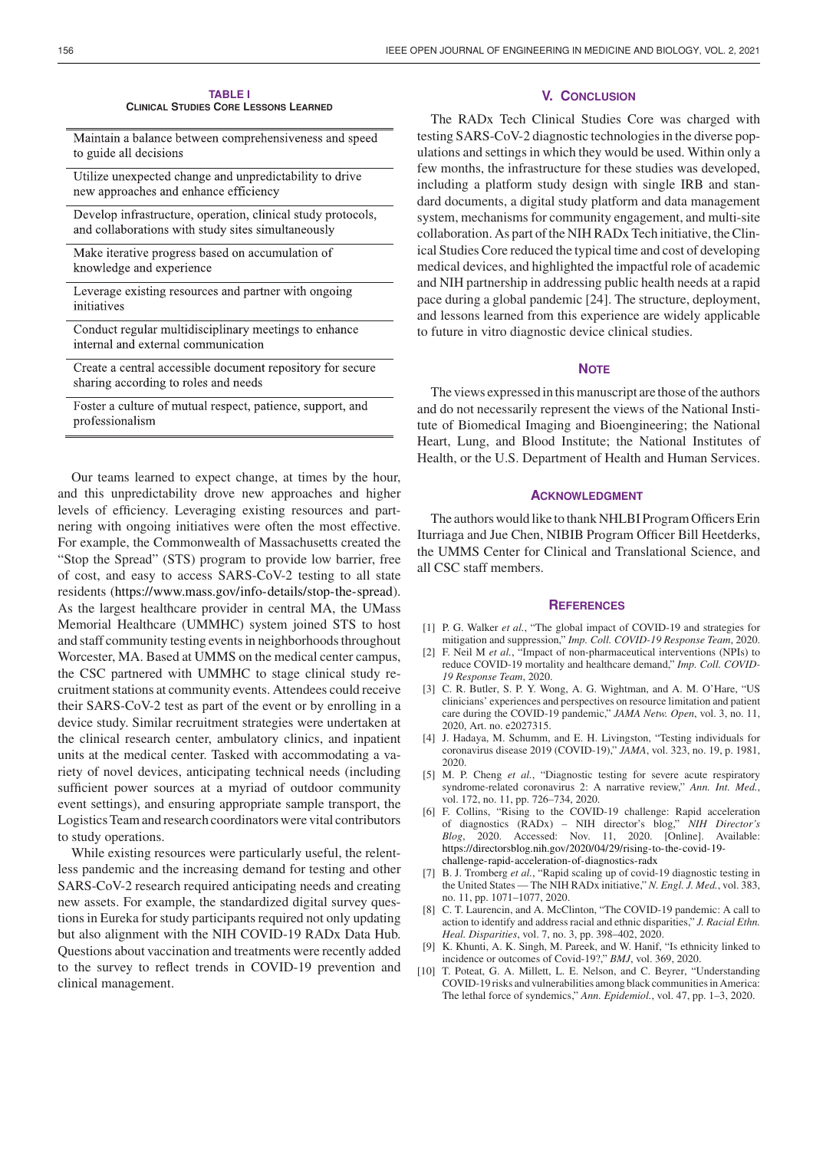| <b>TABLE I</b>                               |
|----------------------------------------------|
| <b>CLINICAL STUDIES CORE LESSONS LEARNED</b> |

Maintain a balance between comprehensiveness and speed to guide all decisions

Utilize unexpected change and unpredictability to drive new approaches and enhance efficiency

- Develop infrastructure, operation, clinical study protocols, and collaborations with study sites simultaneously
- Make iterative progress based on accumulation of knowledge and experience

| Leverage existing resources and partner with ongoing |  |  |
|------------------------------------------------------|--|--|
| initiatives                                          |  |  |

- Conduct regular multidisciplinary meetings to enhance internal and external communication
- Create a central accessible document repository for secure sharing according to roles and needs

Foster a culture of mutual respect, patience, support, and professionalism

Our teams learned to expect change, at times by the hour, and this unpredictability drove new approaches and higher levels of efficiency. Leveraging existing resources and partnering with ongoing initiatives were often the most effective. For example, the Commonwealth of Massachusetts created the "Stop the Spread" (STS) program to provide low barrier, free of cost, and easy to access SARS-CoV-2 testing to all state residents [\(https://www.mass.gov/info-details/stop-the-spread\)](https://www.mass.gov/info-details/stop-the-spread). As the largest healthcare provider in central MA, the UMass Memorial Healthcare (UMMHC) system joined STS to host and staff community testing events in neighborhoods throughout Worcester, MA. Based at UMMS on the medical center campus, the CSC partnered with UMMHC to stage clinical study recruitment stations at community events. Attendees could receive their SARS-CoV-2 test as part of the event or by enrolling in a device study. Similar recruitment strategies were undertaken at the clinical research center, ambulatory clinics, and inpatient units at the medical center. Tasked with accommodating a variety of novel devices, anticipating technical needs (including sufficient power sources at a myriad of outdoor community event settings), and ensuring appropriate sample transport, the Logistics Team and research coordinators were vital contributors to study operations.

While existing resources were particularly useful, the relentless pandemic and the increasing demand for testing and other SARS-CoV-2 research required anticipating needs and creating new assets. For example, the standardized digital survey questions in Eureka for study participants required not only updating but also alignment with the NIH COVID-19 RADx Data Hub. Questions about vaccination and treatments were recently added to the survey to reflect trends in COVID-19 prevention and clinical management.

# **V. CONCLUSION**

The RADx Tech Clinical Studies Core was charged with testing SARS-CoV-2 diagnostic technologies in the diverse populations and settings in which they would be used. Within only a few months, the infrastructure for these studies was developed, including a platform study design with single IRB and standard documents, a digital study platform and data management system, mechanisms for community engagement, and multi-site collaboration. As part of the NIH RADx Tech initiative, the Clinical Studies Core reduced the typical time and cost of developing medical devices, and highlighted the impactful role of academic and NIH partnership in addressing public health needs at a rapid pace during a global pandemic [24]. The structure, deployment, and lessons learned from this experience are widely applicable to future in vitro diagnostic device clinical studies.

## **NOTE**

The views expressed in this manuscript are those of the authors and do not necessarily represent the views of the National Institute of Biomedical Imaging and Bioengineering; the National Heart, Lung, and Blood Institute; the National Institutes of Health, or the U.S. Department of Health and Human Services.

### **ACKNOWLEDGMENT**

The authors would like to thank NHLBI Program Officers Erin Iturriaga and Jue Chen, NIBIB Program Officer Bill Heetderks, the UMMS Center for Clinical and Translational Science, and all CSC staff members.

#### **REFERENCES**

- [1] P. G. Walker *et al.*, "The global impact of COVID-19 and strategies for mitigation and suppression," *Imp. Coll. COVID-19 Response Team*, 2020.
- [2] F. Neil M *et al.*, "Impact of non-pharmaceutical interventions (NPIs) to reduce COVID-19 mortality and healthcare demand," *Imp. Coll. COVID-19 Response Team*, 2020.
- [3] C. R. Butler, S. P. Y. Wong, A. G. Wightman, and A. M. O'Hare, "US clinicians' experiences and perspectives on resource limitation and patient care during the COVID-19 pandemic," *JAMA Netw. Open*, vol. 3, no. 11, 2020, Art. no. e2027315.
- [4] J. Hadaya, M. Schumm, and E. H. Livingston, "Testing individuals for coronavirus disease 2019 (COVID-19)," *JAMA*, vol. 323, no. 19, p. 1981, 2020.
- [5] M. P. Cheng *et al.*, "Diagnostic testing for severe acute respiratory syndrome-related coronavirus 2: A narrative review," *Ann. Int. Med.*, vol. 172, no. 11, pp. 726–734, 2020.
- [6] F. Collins, "Rising to the COVID-19 challenge: Rapid acceleration of diagnostics (RADx) – NIH director's blog," *NIH Director's Blog*, 2020. Accessed: Nov. 11, 2020. [Online]. Available: [https://directorsblog.nih.gov/2020/04/29/rising-to-the-covid-19](https://directorsblog.nih.gov/2020/04/29/rising-to-the-covid-19-challenge-rapid-acceleration-of-diagnostics-radx) challenge-rapid-acceleration-of-diagnostics-radx
- [7] B. J. Tromberg *et al.*, "Rapid scaling up of covid-19 diagnostic testing in the United States — The NIH RADx initiative," *N. Engl. J. Med.*, vol. 383, no. 11, pp. 1071–1077, 2020.
- [8] C. T. Laurencin, and A. McClinton, "The COVID-19 pandemic: A call to action to identify and address racial and ethnic disparities," *J. Racial Ethn. Heal. Disparities*, vol. 7, no. 3, pp. 398–402, 2020.
- [9] K. Khunti, A. K. Singh, M. Pareek, and W. Hanif, "Is ethnicity linked to incidence or outcomes of Covid-19?," *BMJ*, vol. 369, 2020.
- [10] T. Poteat, G. A. Millett, L. E. Nelson, and C. Beyrer, "Understanding COVID-19 risks and vulnerabilities among black communities in America: The lethal force of syndemics," *Ann. Epidemiol.*, vol. 47, pp. 1–3, 2020.